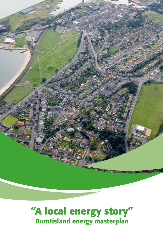

# **"A local energy story"** Burntisland energy masterplan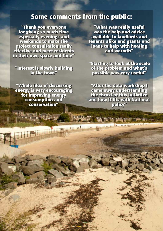## **Some comments from the public:**

**"Thank you everyone for giving so much time especially evenings and weekends to make the project consultation really effective and meet residents in their own space and time"**

**"Interest is slowly building in the town"**

**"Whole idea of discussing energy is very encouraging for improving energy consumption and conservation"**

**THE REAL PROPERTY AND** 

**"What was really useful was the help and advice available to landlords and tenants alike and grants and loans to help with heating and warmth"**

**"Starting to look at the scale of the problem and what's possible was very useful"**

**"After the data workshop I came away understanding the thrust of this initiative and how it fits with National policy"**

**SELLING MANGE**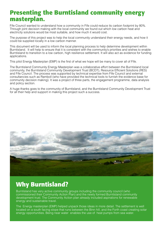# **Presenting the Burntisland community energy masterplan.**

Fife Council wanted to understand how a community in Fife could reduce its carbon footprint by 80%. Through joint decision making with the local community we found out which low carbon heat and electricity solutions would be most suitable, and how much it would cost.

The purpose of this project was to help the local community understand their energy needs, and how it could be supplied locally in a low carbon manner.

This document will be used to inform the local planning process to help determine development within Burntisland. It will help to ensure that it is consistent with the community's priorities and wishes to enable Burntisland to transition to a low carbon, high resilience settlement. It will also act as evidence for funding applications.

This pilot Energy Masterplan (EMP) is the first of what we hope will be many to cover all of Fife.

The Burntisland Community Energy Masterplan was a collaborative effort between the Burntisland local community, the Burntisland Community Development Trust (BCDT), Resource Efficient Solutions (RES) and Fife Council. The process was supported by technical expertise from Fife Council and external consultancies such as Ramboll (who have provided the technical tools to furnish the evidence base for community decision making). It was a project of three parts, the engagement programme, data analysis and policy section.

A huge thanks goes to the community of Burntisland, and the Burntisland Community Development Trust for all their help and support in making this project such a success.



# **Why Burntisland?**

Burntisland has very active community groups including the community council (who commissioned their Community Action Plan) and the newly formed Burntisland community development trust. The Community Action plan already included aspirations for renewable energy and sustainable travel.

The Energy masterplan (EMP) helped unpack those ideas in more detail. The settlement is well located on a south facing slope that runs between the Binn hill, and the Forth coast creating solar energy opportunities. Being near water enables the use of heat pumps from sea water.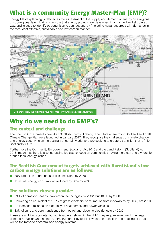# **What is a community Energy Master-Plan (EMP)?**

Energy Master-planning is defined as the assessment of the supply and demand of energy on a regional or sub-regional level. It aims to ensure that energy projects are developed in a planned and structured way, and is used to identify opportunities to connect energy (including heat) resources with demands in the most cost effective, sustainable and low carbon manner.



# **Why do we need to do EMP's?**

## **The context and challenge**

The Scottish Government's new draft Scottish Energy Strategy: The future of energy in Scotland and draft Climate Change Plan were launched in January 2017. They recognise the challenges of climate change and energy security in an increasingly uncertain world, and are seeking to create a transition that is fit for Scotland's future.

Furthermore the Community Empowerment (Scotland) Act 2015 and the Land Reform (Scotland) Act 2016, mean that there is also increasing legislative focus on communities having more say and ownership around local energy issues.

### **The Scottish Government targets achieved with Burntisland's low carbon energy solutions are as follows:**

- 80% reduction in greenhouse gas emissions by 2050
- Total final energy consumption reduced by 30% by 2030

## **The solutions chosen provide:**

- 39% of domestic heat by low-carbon technologies by 2032, but 100% by 2050
- Delivering an equivalent of 100% of gross electricity consumption from renewables by 2032, not 2020
- An increased reliance on electricity to heat homes and power vehicles
- 33% of vans and cars transitioned from petrol and diesel to electric fuels by 2032

These are ambitious targets but achievable as shown in the EMP. They require investment in energy demand reduction and in energy infrastructure. Key to this low carbon transition and meeting of targets will be the move to decentralised energy systems.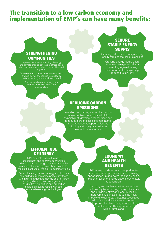## **The transition to a low carbon economy and implementation of EMP's can have many benefits:**

### **STRENGTHENING COMMUNITIES**

Improved local understanding of energy and climate change can inspire others about what can be achieved when communities work together.

Outcomes can improve community cohesion and wellbeing, and reduce inequality by creating shared goals and shared benefits

> Secure locally owned energy can increase the resilience of local communities

### **SECURE STABLE ENERGY SUPPLY**

Creating a diversified energy supply locally reduces the risk of blackouts

Creating energy locally offers increased energy security by protecting against raising pricesAffordable energy helps reduce fuel poverty

### **REDUCING CARBON EMISSIONS**

Joint decision making around low carbon energy enables communities to take ownership of, develop local solutions and to reduce carbon emissions from home it also reduces transport emissions (shipping and road) by maximising use of local resources

#### **EFFICIENT USE OF ENERGY**

EMPs can help ensure the use of unused heat and energy opportunities, which otherwise may go to waste. It enables planning of technologies so they provide the most efficient use of the fuel from primary fuels

District Heating Network energy solutions are best suited to urban areas particularly those with high heat demand density and / or large cooling demands –advantageous for hard to treat properties and properties that are difficult to retrofit with other sustainable energy technologies

## **ECONOMY AND HEALTH BENEFITS**

EMP's can provide economic opportunities, employment, apprenticeships and training opportunities up and down the supply chain. Implementation of energy options can enable regeneration.

Planning and implementation can reduce fuel poverty by improving energy efficiency and providing affordable energy locally. Improvements can also reduce the health impacts (including early deaths) associated with damp and under-heated homes. Improved local air quality can lead to health and wellbeing benefits within Burntisland.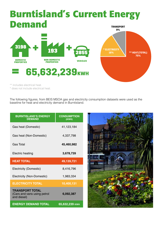## **Burntisland's Current Energy Demand TRANSPORT**





\*\* includes electrical heat.

\* does not include electrical heat.

The following figures, from BEIS MSOA gas and electricity consumption datasets were used as the baseline for heat and electricity demand in Burntisland.

| <b>BURNTISLAND'S ENERGY</b><br><b>DEMAND</b>                         | <b>CONSUMPTION</b><br>(KWH) |
|----------------------------------------------------------------------|-----------------------------|
| Gas heat (Domestic)                                                  | 41,123,184                  |
| Gas heat (Non-Domestic)                                              | 4,337,798                   |
| Gas Total                                                            | 45,460,982                  |
| <b>Electric heating</b>                                              | 3,678,739                   |
| <b>HEAT TOTAL</b>                                                    | 49,139,721                  |
| Electricity (Domestic)                                               | 8,416,796                   |
| Electricity (Non-Domestic)                                           | 1,983,334                   |
| <b>ELECTRICITY TOTAL</b>                                             | 10,400,131                  |
| <b>TRANSPORT TOTAL</b><br>(Cars and vans using petrol<br>and diesel) | 6,092,387                   |
| <b>ENERGY DEMAND TOTAL</b>                                           | 65,632,239 кмн              |

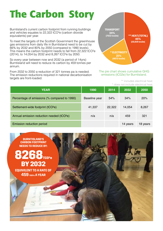# **The Carbon Story**

Burntisland's current carbon footprint from running buildings and vehicles equates to 22,322 tCO²e (carbon dioxide equivalents) per year.

To meet the targets of the Scottish Government the greenhouse gas emissions from daily life in Burntisland need to be cut by 66% by 2032 and 80% by 2050 (compared to 1990 levels). This means the carbon footprint needs to fall from 22,322 tCO²e (2014), to 14,054 by 2032 and 8,267 tCO²e by 2050.

So every year between now and 2032 (a period of 14yrs) Burntisland will need to reduce its carbon by 459 tonnes per annum.

From 2032 to 2050 a reduction of 321 tonnes pa is needed. The emission reductions required in national decarbonisation targets are front-loaded.



#### The pie chart shows cumulative GHG emissions (tC02e) for Burntisland.

\*\* includes electrical heat. \* does not include electrical heat.

| YEAR                                                  | 1990          | 2014   | 2032     | 2050     |
|-------------------------------------------------------|---------------|--------|----------|----------|
| Percentage of emissions (% compared to 1990)          | Baseline year | 54%    | 34%      | 20%      |
| Settlement-wide footprint (tCO <sup>2</sup> e)        | 41,337        | 22,322 | 14,054   | 8,267    |
| Annual emission reduction needed (tCO <sup>2</sup> e) | n/a           | n/a    | 459      | 321      |
| <b>Emission reduction period</b>                      |               |        | 14 years | 18 years |

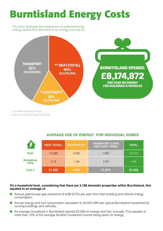# **Burntisland Energy Costs**

Pie chart illustrates the breakdown of settlement-wide energy spend from Burntisland by energy end use (£)



\*\* includes electrical heat.

\* does not include electrical heat.

| AVERAGE USE OF ENERGY FOR INDIVIDUAL HOMES |  |  |  |  |  |
|--------------------------------------------|--|--|--|--|--|
|--------------------------------------------|--|--|--|--|--|

|                                     | <b>HEAT (TOTAL)</b> | <b>ELECTRICITY</b> | <b>TRANSPORT (CARS</b><br><b>AND LIGHT VANS)</b> | <b>TOTAL</b> |
|-------------------------------------|---------------------|--------------------|--------------------------------------------------|--------------|
| <b>Kwh</b>                          | 15,366              | 3,252              | 1,905                                            | 20,523       |
| <b>Emissions</b><br>CO <sub>2</sub> | 3.13                | 1.46               | 2.39                                             | 6.98         |
| <b>Cost £</b>                       | £1,025              | £455               | £1,076                                           | £2,556       |

#### **On a household level, considering that there are 3,198 domestic properties within Burntisland, this equates to an average of:**

- Annual greenhouse gas emissions of 6.98 tCO<sup>2</sup>e per year from their building and vehicle energy consumption;
- Annual energy and fuel consumption equivalent to 20,522 kWh per typical Burntisland household for running buildings and vehicles;
- An average household in Burntisland spends £2,556 on energy and fuel, annually. This equates to more than 10% of the average Scottish household income being spent on energy.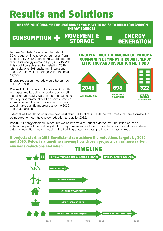# **Results and Solutions**

**THE LESS YOU CONSUME THE LESS MONEY YOU HAVE TO RAISE TO BUILD LOW CARBON ENERGY SOURCES**

#### **MOVEMENT & CONSUMPTION -STORAGE**

## **ENERGY GENERATION**

To meet Scottish Government targets of 30% reduction in energy consumption from base line by 2032 Burntisland would need to reduce its energy demand by 8,671,715 kWh. This could be achieved by installing 2048 loft insulations, 698 cavity wall insulations and 322 outer wall claddings within the next 14years.

Energy reduction methods would be carried out in 2 phases

**Phase 1:** Loft insulation offers a quick results. A programme targeting opportunities for loft insulation and cavity wall, linked to an at scale delivery programme should be considered as an early action. Loft and cavity wall insulation would make significant progress to the 2030 and 2032 targets.

#### **FIRSTLY REDUCE THE AMOUNT OF ENERGY A COMMUNITY DEMANDS THROUGH EN EFFICIENCY AND INSULATION METHODS**



External wall insulation offers the next best return. A total of 332 external wall measures are estimated to be needed to meet the energy reduction targets by 2032.

**Phase 2:** Energy efficiency measures would involve a roll out of external wall insulation across a substantial part of the building stock. Exceptions would include unsuitable buildings and those where external insulation would impact on the building status, for example in conservation areas.

#### **If projects start in 2018 Burntisland can achieve the reductions targets by 2032 and 2050. Below is a timeline showing how chosen projects can achieve carbon emisions reductions and when.**

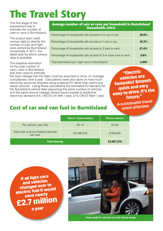# **The Travel Story**

The first stage of the assessment was to estimate the number of cars or vans in Burntisland.

The project team used census data to identify the number of cars and light vans owned by Burntisland households in 2011, the latest year for which census data is available.

The baseline estimation for the total number of cars / vans in Burntisland was then used to estimate

the total mileage that this fleet could be assumed to drive, on average, cumulatively, over a year. Calculations were also done on how much electricity would be required using a typical EV rather than petrol and diesel vehicles. Using these calculations the estimated EV demand for the Burntisland vehicle fleet (assuming the same number of vehicles and the same annual mileage driven) would equate to additional electricity demand of 6,139,072.24 kWh / year, or 6,139.07 Mwh / year.

**"Electric vehicles are fantastic! Smooth quick and very easy to drive. It's the future."**

A sustainable trave<sup>l</sup> event attendee

## **Cost of car and van fuel in Burntisland**

|                                                    | Petrol / diesel vehicles | <b>Electric vehicles</b> |
|----------------------------------------------------|--------------------------|--------------------------|
| Per vehicle / per mile                             | £0.14                    | £0.03                    |
| Total cost of all burntisland vehicles<br>per year | £3,466,018               | £798,648                 |
| <b>Total Saving:</b>                               |                          | £2,667,370               |

**If all light cars and vehicles changed over to electric fuel it would save nearly £2.7 million**

**a year**



**Tesla model X electric car with Falcon wings**

#### **Average number of cars or vans per household in Burntisland Households (2011)**

| Percentage of households with access to no car or van          | 30.5% |
|----------------------------------------------------------------|-------|
| Percentage of households with access to 1 car or van           | 42.2% |
| Percentage of households with access to 2 cars or vans         | 21.6% |
| Percentage of households with access to 3 or more cars or vans | 5.6%  |
| Total estimated cars / light vans in Burntisland               | 2.855 |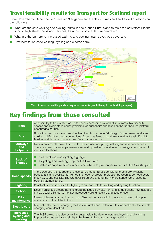## **Travel feasibility results for Transport for Scotland report**

From November to December 2016 we ran 9 engagement events in Burntisland and asked questions on the following:

- What are the safe walking and cycling routes in and around Burntisland to main trip activators like the school, high street shops and services, train, bus, doctors, leisure centre etc.
- What are the barriers to increased walking and cycling, train travel, bus travel and
- How best to increase walking, cycling and electric cars?



# **Key findings from those consulted**

| <b>Train</b>                               | Accessibility to train station on north access hampered by lack of lift or ramp. No disability<br>access and steep stairs cause problems for pushchairs and bikes on the Northbound platform,<br>encourages car use.                                                                                               |
|--------------------------------------------|--------------------------------------------------------------------------------------------------------------------------------------------------------------------------------------------------------------------------------------------------------------------------------------------------------------------|
| <b>Bus</b>                                 | Bus within town is a valued service. No direct bus route to Edinburgh. Some buses unreliable<br>making it difficult to catch connections. Expensive fares to local towns makes travel difficult for<br>families and those on low incomes. Encourages car use.                                                      |
| <b>Footways</b><br>and<br>footpaths        | Narrow pavements make it difficult for shared use for cycling, walking and disability access.<br>There is a need for wider pavements, more dropped kerbs and safer crossings at a number of<br>identified locations.                                                                                               |
| <b>Lack of</b><br><b>Signage</b>           | clear walking and cycling signage<br>a cycling and walking map for the town, and<br>better signage needed on how and where to join longer routes: i.e. the Coastal path                                                                                                                                            |
| <b>Road speeds</b>                         | There was positive feedback of those consulted for all of Burntisland to be a 20MPH zone.<br>Pedestrians and cyclists highlighted the need for greater protection between larger road users,<br>e.g. HGV's, and cyclists. The Cromwell Road and around the Primary School were raised as<br>potential 20mph zones. |
| <b>Lighting</b>                            | 2 footpaths were identified for lighting to support safe for walking and cycling to school.                                                                                                                                                                                                                        |
| <b>School</b>                              | Issue highlighted around parents dropping kids off by car. Park and stride options now included<br>in new design. School to monitor increased walking, cycling and scooter use.                                                                                                                                    |
| <b>Bike</b><br>maintenance                 | Nearest bike repair shop in Aberdour. Bike maintenance within the travel hub would help to<br>address lack of facilities in town.                                                                                                                                                                                  |
| <b>Electric cars</b>                       | No public electric car charging facilities in Burntisland. Potential sites for public electric vehicle<br>charging were identified.                                                                                                                                                                                |
| <b>Increased</b><br>cycling and<br>walking | The PASF project enabled us to find out physical barriers to increased cycling and walking,<br>Improved routes and accessibility to be linked to behaviour change activities                                                                                                                                       |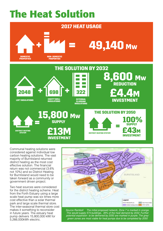# **The Heat Solution**



Communal heating solutions were considered against individual low carbon heating solutions. The vast majority of Burntisland returned district heating as the most cost effective solution. The financial return was not commercial (3.6% not 10%) and so District Heating for Burntisland would need to be taken forward as a community or government driven project.

Two heat sources were considered for the district heating scheme. Heat from the Forth Estuary using a large scale heat pump was six times more cost effective than a solar thermal park and large scale thermal store. The inter-seasonal thermal store cost makes it something to reconsider in future years. The estuary heat pump delivers 15,800,000 kWt for 5,266,000kWh electric.



*Source Ramboll The initial proposed network, Zone 7 is marked in orange. This would supply 574 buildings, 39% of the heat demand by 2032. Further potential expansion to be delivered by 2050 are marked in purple. The grey/ green zones are most viable for heat pumps due to be completed by 2050*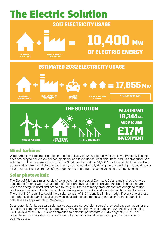

## **Wind turbines**

Wind turbines will be important to enable the delivery of 100% electricity for the town. Presently it is the cheapest way to deliver low carbon electricity and takes up the least amount of land (in comparison to a solar farm). The proposal is for 7x EWT 900 turbines to produce 14,000 Mw of electricity. If twinned with appropriately sized local storage the energy can be used locally during the day and night. It could power other projects like the creation of hydrogen or the charging of electric vehicles at off peak times.

## **Solar photovoltaic**

The East of Fife has similar levels of solar potential as areas of Denmark. Solar panels should only be considered for on a well maintained roof. Solar photovoltaic panels provide the best financial return when the energy is used and not sold to the grid. There are many products that are designed to use photovoltaic panels in the home, such as heating water in tanks or storing electricity in heat batteries. There are 1107 roofs that could have solar panels, of 3104 identified in this model. If every one of these solar photovoltaic panel installations was installed the total potential generation for these panels is calculated as approximately 894Mwh/yr.

Solar potential for large scale solar parks was considered. 'Lightsource' provided a presentation for the Burntisland community which suggested a 4Mw solar photovoltaic park on a 20acre site, generating 3,500Mwh/yr for £3.5M. This was converted to potential per hectare 875Mw ha/yr at £875K. The presentation was provided as indicative and further work would be required prior to developing a business case.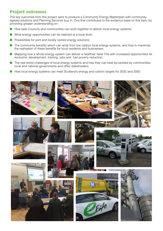## **Project outcomes**

The key outcomes from this project were to produce a Community Energy Masterplan with communityagreed solutions and Planning Services buy in; One that contributes to the evidence base on this topic by providing greater understanding on:

- How best Councils and communities can work together to deliver local energy systems;
- What energy opportunities can be realized at a local level;
- Possibilities for joint and locally owned energy solutions;
- The community benefits which can arise from low carbon local energy systems, and how to maximise the realisation of these benefits for local residents and businesses;
- Mapping how a whole energy system can deliver a healthier, fairer Fife with increased opportunities for economic development, training, jobs and fuel poverty reduction;
- The real world challenges of local energy systems and how they can best be tackled by communities, local and national governments and other stakeholders.
- How local energy systems can meet Scotland's energy and carbon targets for 2032 and 2050.

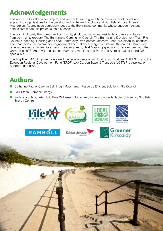# **Acknowledgements**

This was a multi-stakeholder project, and we would like to give a huge thanks to our funders and supporting organisations for the development of the methodology and Burntisland Local Energy Masterplan. Appreciation particularly goes to the Burntisland community whose engagement and enthusiasm made this project such a success.

The team included, The Burntisland community (including individual residents and representatives from community groups); The Burntisland Community Council; The Burntisland Development Trust; Fife Council's Planning, Housing and Local Community Development officers; Local sustainability charities and champions (i.e. community engagement and fuel poverty agents: Greener Kirkcaldy); Community renewable energy ownership experts; Heat engineers; Heat Mapping specialists; Researchers from the Universities of St Andrews and Napier ; Ramboll , Highland and Perth and Kinross councils and GIS specialists.

Funding The EMP pilot project delivered the requirements of two funding applications. CARES IIF and the European Regional Development Fund (ERDF) Low Carbon Travel & Transport (LCTT) Pre-Application Support Fund (PASF)

# **Authors**

- Catherine Payne, Carolyn Bell, Hugh Muschamp- Resource Efficient Solutions, Fife Council
- Paul Steen, Ramboll Energy
- Professor John Currie, Julio Bros Williamson Jonathan Stinton -Edinburgh Napier University / Scottish Energy Centre

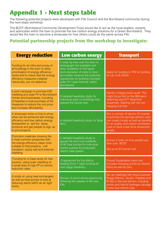# **Appendix 1 - Next steps table**

The following potential projects were developed with Fife Council and the Burntisland community during the next steps workshop.

The BCDT (Burntisland Community Development Trust) would like to act as the local leaders, experts and advocates within the town to promote the low carbon energy solutions for a Green Burntisland. They would like the town to become a showcase for how others could do the same across Fife.

## **Potential partnership projects from the workshop to investigate:**

| <b>Energy reduction</b>                                                                                                                                                                                                    | <b>Low carbon energy</b>                                                                                                                                                                                                                                              | <b>Transport</b>                                                                                                                                                                                                |
|----------------------------------------------------------------------------------------------------------------------------------------------------------------------------------------------------------------------------|-----------------------------------------------------------------------------------------------------------------------------------------------------------------------------------------------------------------------------------------------------------------------|-----------------------------------------------------------------------------------------------------------------------------------------------------------------------------------------------------------------|
| Funding for an infra-red survey of<br>all buildings in the town to allow<br>prioritisation of energy efficiency<br>works and to check that the energy<br>efficiency measures installed<br>historically, are not defective. | A solar fly-over over the town to<br>photograph the available roof<br>area, suitability of roof types<br>and orientation of roofs to more<br>accurately measure the potential<br>opportunity for building mounted<br>solar PV / solar thermal, within<br>Burntisland. | Apply for funding to TFS for funding<br>for car club officer.                                                                                                                                                   |
| A joint campaign to promote EWI<br>cladding and solar PV to Burntisland<br>homes and businesses, including<br>(if feasible) a bulk purchase of the<br>measures to reduce the unit price<br>and increase affordability.     | A detailed feasibility study for<br>individual solar on buildings that<br>passed the flyover test.                                                                                                                                                                    | Electric charge points audit. This<br>might focus first on the 869 semi-<br>detached and 677 detached<br>properties. Starting with the low<br>hanging fruit first.                                              |
| A showcase home or hub to show<br>what can be achieved with energy<br>efficiency and low carbon energy.<br>Somewhere to sell the ideas,<br>products and get people to sign up<br>to joint projects.                        | A detailed feasibility study for Solar<br>farm.                                                                                                                                                                                                                       | Run a number of electric EV events<br>to promote the savings electric cars<br>can create locally as well as benefits<br>for air quality and carbon emissions.<br>Look to have a test drive showroom<br>locally. |
| Promotion materials showing the<br>5 most common properties with<br>the energy efficiency ideas most<br>suitable to that property. Loft<br>insulation, cavity wall and external<br>cladding.                               | A detailed feasibility study to<br>gauge the technical suitability<br>of Air heat pumps for individual<br>homes outside the proposed<br>district heat system.                                                                                                         | Survey in town on how people use<br>their cars BCDT<br>Set up an EV social club                                                                                                                                 |
| Funding for a Case study for fuel<br>poverty- using outer cladding on<br>a small area of high FP to monitor<br>reduction rates.                                                                                            | If agreement for the district<br>heating Zone 7 seek funding for<br>next stage feasibility.                                                                                                                                                                           | Ensure Sustainable travel hub<br>includes charging points for electric<br>bikes as well as cars.                                                                                                                |
| A study on using heat exchangers<br>as well as heat pumps to look at<br>reducing damp within an air tight<br>home.                                                                                                         | Review of wind turbine opportunity<br>following the release of the new<br>Fife                                                                                                                                                                                        | Set up meetings with local business<br>Briggs Marine, Scott's Palettes and<br>Bi-fab to discuss electric charging<br>points and hybrid hydrogen haulage<br>trucks and marine tugs.                              |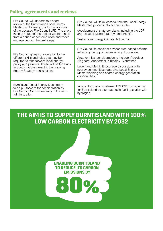## **Policy, agreements and reviews**

| Fife Council will undertake a short<br>review of the Burntisland Local Energy<br>Masterplan following the formal approval<br>of the updated Fife Council LPD. The short<br>intense nature of the project would benefit<br>from a period of contemplation and wider<br>engagement on the next steps. | Fife Council will take lessons from the Local Energy<br>Masterplan process into account in the<br>development of statutory plans, including the LDP<br>and Local Housing Strategy; and the Fife<br>Sustainable Energy Climate Action Plan                                                                                                                                    |
|-----------------------------------------------------------------------------------------------------------------------------------------------------------------------------------------------------------------------------------------------------------------------------------------------------|------------------------------------------------------------------------------------------------------------------------------------------------------------------------------------------------------------------------------------------------------------------------------------------------------------------------------------------------------------------------------|
| Fife Council gives consideration to the<br>different skills and roles that may be<br>required to take forward local energy<br>policy and projects. These will be fed back<br>to Scottish Government in the ongoing<br>Energy Strategy consultations.                                                | Fife Council to consider a wider area based scheme<br>reflecting the opportunities arising from scale.<br>Area for initial consideration to include: Aberdour,<br>Kinghorn, Auchertool, Kirkcaldy, Glenrothes,<br>Leven and Methil. Encourage discussions with<br>nearby communities regarding Local Energy<br>Masterplanning and shared energy generation<br>opportunities. |
| Burntisland Local Energy Masterplan<br>to be put forward for consideration by<br>Fife Council Committee early in the next<br>administration.                                                                                                                                                        | Initiate discussions between FC/BCDT on potential<br>for Burntisland as alternate fuels fuelling station with<br>hydrogen.                                                                                                                                                                                                                                                   |

## **THE AIM IS TO SUPPLY BURNTISLAND WITH 100% LOW CARBON ELECTRICITY BY 2032**

**ENABLING BURNTISLAND TO REDUCE ITS CARBON EMISSIONS BY**

**80%**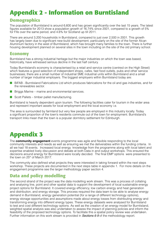# **Appendix 2 - Information on Burntisland**

## **Demographics**

The population of Burntisland is around 6,600 and has grown significantly over the last 15 years. The latest figures available for 2013 show a population growth of 16.74% since 2001, compared to a growth of 5% for Fife over the same period, and 4.6% for Scotland up till 2011.

There are around 3,200 households in Burntisland, compared to just over 2,500 in 2001. This growth has largely been due to significant new-build development, particularly on the site of the former Alcan Aluminium factory in the west of Burntisland, which has brought many families to the town. There is further housing development planned on several sites in the town including on the site of the old primary school.

### **Economy**

Burntisland has a strong industrial heritage but the major industries on which the town was based, historically, have witnessed serious decline in the last half century.

Today Burntisland's economy is characterised by a retail and service centre (centred on the High Street) which features a good selection of independent shops, cafes, fast food outlets, pubs and other service businesses; there are a small number of industrial SME industrial units within Burntisland and a small number of larger industrial employers. The biggest employers within Burntisland today are:

- BiFAB Burntisland Fabrications Ltd which produces fabrications for the oil and gas industries, and for the renewables sector.
- Briggs Marine marine and environmental services.
- Scott Pallets timber pallet manufacturing.

Burntisland is heavily dependent upon tourism. The following facilities cater for tourism in the wider area and represent important assets for local employment and the local economy i.e.

The area is surrounded by farmland but very few people are employed in this industry locally. Today a significant proportion of the town's residents commute out of the town for employment. Burntisland's transport links mean that the town is a popular dormitory settlement for Edinburgh.

# **Appendix 3**

The **community engagement** events programme was agile and flexible responding to the local community interests and needs as well as ensuring we met the deliverables within the funding criteria. In all we had 18 events. Increased local energy knowledge from the programme along with local talent and expertise enabled lively discussion and debate at both Data in and output workshops. This ensured the decisions around energy for Burntisland were locally decided. The final EMP options were presented to the town on 25<sup>th</sup> of March 2017.

The community also defined what projects they were interested in taking forward within the next steps workshop. These projects are documented in the next steps table in appendix 1. For more details on the engagement programme see the larger methodology paper section 4.

## **Data and policy modelling**

The second strand of the project was the data modelling work stream. This was a process of collating and analysing line, point and other spatial data to support the development of local sustainable energy project options for Burntisland. It covered energy efficiency, low carbon energy and heat generation and distribution, and energy storage. This process required the data team to be able to analyse energy demand in Burntisland, energy generation potential (for a range of different technology options), energy storage opportunities and assumptions made about energy losses from distributing energy and transforming energy into different energy types. These energy datasets were analysed for Burntisland to test and cost different technology options. As well as the creation of an energy model for Burntisland, weighted spatial analysis was also undertaken to assess the impact of planning policies and inform the feasibility of the proposed technology options. To facilitate this a spatial policy review was undertaken. Further information on this work stream is provided in *Sections 6-9* of the methodology report.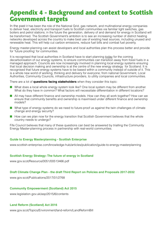## **Appendix 4 - Background and context to Scottish Government targets**

In the past it has been the role of the National Grid, gas network, and multinational energy companies to deliver heat, electricity and transport fuels to Scottish communities via familiar light switches, gas boilers and petrol stations; in the future the generation, delivery of and demand for energy in Scotland will be transformed. The Scottish Government's ambition is to see an increasing number of district heating networks developed across the country to make best use of existing heat sources, including unused and renewable heat. This will help cut carbon emissions, reduce fuel bills and combat fuel poverty.

Energy master-planning can assist developers and local authorities plan this process better and provide for 'future proofing' for communities.

It is recognised that local authorities in Scotland have to start planning today for the coming decarbonisation of our energy systems, to ensure communities can transition away from fossil fuels in a managed approach. Councils are now increasingly involved in planning local energy systems ensuring that local decision making and ownership is at the centre of the new energy strategy for Scotland. It is recognised that future energy systems have to be based within a community instead of outside of it. This is a whole new world of working, thinking and delivery for everyone; from national Government, Local Authorities, Community Councils, infrastructure providers, to utility companies and local communities.

There are a lot of **questions facing stakeholders** when they consider this topic:

- What does a local whole energy system look like? One local system may be different from another. What do they have in common? What factors will necessitate differentiation in different locations?
- All may have different finance and ownership models. How can they all work together? How can we ensure that community benefits and ownership is maximised under different finance and ownership models?
- What type of energy systems do we need to future-proof us against the twin challenges of climate change and energy security?
- How can we plan now for the energy transition that Scottish Government believes that the whole country needs to undergo?

Fife Council believes that many of these questions can best be answered by trialling the Community Energy Master-planning process in partnership with real-world communities.

#### **Guide to Energy Masterplanning - Scottish Enterprise**

[www.scottish-enterprise.com/knowledge-hub/articles/publication/guide-](http://www.scottish-enterprise.com/knowledge-hub/articles/publication/guide)to-energy-masterplanning

#### **Scottish Energy Strategy: The future of energy in Scotland**

[www.gov.scot/Resource/0051/00513466.pdf](http://www.gov.scot/Resource/0051/00513466.pdf)

#### **Draft Climate Change Plan - the draft Third Report on Policies and Proposals 2017-2032**

[www.gov.scot/Publications/](http://www.gov.scot/Publications)2017/01/2768

#### **Community Empowerment (Scotland) Act 2015**

[www.legislation.gov.uk/asp/2015/6/contents](http://www.legislation.gov.uk/asp/2015/6/contents)

#### **Land Reform (Scotland) Act 2016**

[www.gov.scot/Topics/Environment/land-reform/LandReformBill](http://www.gov.scot/Topics/Environment/land-reform/LandReformBill)